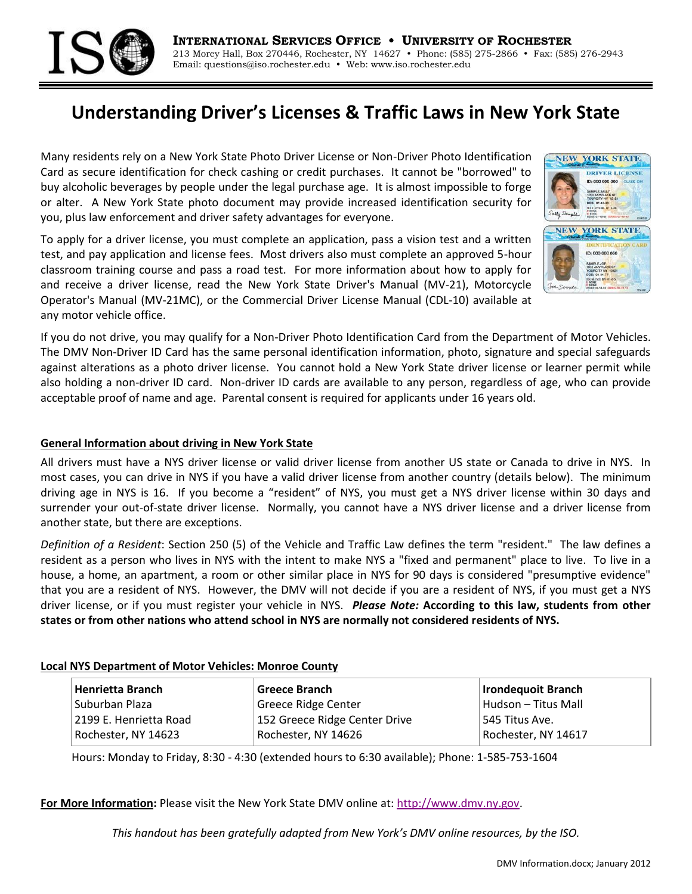

# **Understanding Driver's Licenses & Traffic Laws in New York State**

Many residents rely on a New York State Photo Driver License or Non-Driver Photo Identification Card as secure identification for check cashing or credit purchases. It cannot be "borrowed" to buy alcoholic beverages by people under the legal purchase age. It is almost impossible to forge or alter. A New York State photo document may provide increased identification security for you, plus law enforcement and driver safety advantages for everyone.

To apply for a driver license, you must complete an application, pass a vision test and a written test, and pay application and license fees. Most drivers also must complete an approved 5-hour classroom training course and pass a road test. For more information about how to apply for and receive a driver license, read the New York State Driver's Manual (MV-21), Motorcycle Operator's Manual (MV-21MC), or the Commercial Driver License Manual (CDL-10) available at any motor vehicle office.



If you do not drive, you may qualify for a Non-Driver Photo Identification Card from the Department of Motor Vehicles. The DMV Non-Driver ID Card has the same personal identification information, photo, signature and special safeguards against alterations as a photo driver license. You cannot hold a New York State driver license or learner permit while also holding a non-driver ID card. Non-driver ID cards are available to any person, regardless of age, who can provide acceptable proof of name and age. Parental consent is required for applicants under 16 years old.

#### **General Information about driving in New York State**

All drivers must have a NYS driver license or valid driver license from another US state or Canada to drive in NYS. In most cases, you can drive in NYS if you have a valid driver license from another country (details below). The minimum driving age in NYS is 16. If you become a "resident" of NYS, you must get a NYS driver license within 30 days and surrender your out-of-state driver license. Normally, you cannot have a NYS driver license and a driver license from another state, but there are exceptions.

*Definition of a Resident*: [Section 250 \(5\)](http://www.nydmv.state.ny.us/vtl.htm) of the Vehicle and Traffic Law defines the term "resident." The law defines a resident as a person who lives in NYS with the intent to make NYS a "fixed and permanent" place to live. To live in a house, a home, an apartment, a room or other similar place in NYS for 90 days is considered "presumptive evidence" that you are a resident of NYS. However, the DMV will not decide if you are a resident of NYS, if you must get a NYS driver license, or if you must register your vehicle in NYS. *Please Note:* **According to this law, students from other states or from other nations who attend school in NYS are normally not considered residents of NYS.**

### **Local NYS Department of Motor Vehicles: Monroe County**

| Henrietta Branch       | Greece Branch                 | Irondequoit Branch  |
|------------------------|-------------------------------|---------------------|
| Suburban Plaza         | Greece Ridge Center           | Hudson – Titus Mall |
| 2199 E. Henrietta Road | 152 Greece Ridge Center Drive | 545 Titus Ave.      |
| Rochester, NY 14623    | Rochester, NY 14626           | Rochester, NY 14617 |

Hours: Monday to Friday, 8:30 - 4:30 (extended hours to 6:30 available); Phone: 1-585-753-1604

**For More Information:** Please visit the New York State DMV online at: [http://www.dmv.ny.gov.](http://www.dmv.ny.gov/)

*This handout has been gratefully adapted from New York's DMV online resources, by the ISO.*